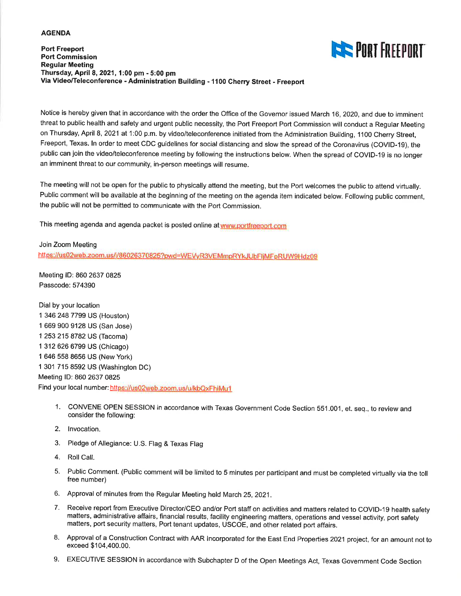#### **AGENDA**

#### **Port Freeport Port Commission Regular Meeting** Thursday, April 8, 2021, 1:00 pm - 5:00 pm Via Video/Teleconference - Administration Building - 1100 Cherry Street - Freeport



Notice is hereby given that in accordance with the order the Office of the Governor issued March 16, 2020, and due to imminent threat to public health and safety and urgent public necessity, the Port Freeport Port Commission will conduct a Regular Meeting on Thursday, April 8, 2021 at 1:00 p.m. by video/teleconference initiated from the Administration Building, 1100 Cherry Street, Freeport, Texas. In order to meet CDC guidelines for social distancing and slow the spread of the Coronavirus (COVID-19), the public can join the video/teleconference meeting by following the instructions below. When the spread of COVID-19 is no longer an imminent threat to our community, in-person meetings will resume.

The meeting will not be open for the public to physically attend the meeting, but the Port welcomes the public to attend virtually. Public comment will be available at the beginning of the meeting on the agenda item indicated below. Following public comment, the public will not be permitted to communicate with the Port Commission.

This meeting agenda and agenda packet is posted online at www.portfreeport.com

Join Zoom Meeting https://us02web.zoom.us/j/86026370825?pwd=WEVyR3VEMmpRYkJUbFljMFpRUW9Hdz09

Meeting ID: 860 2637 0825 Passcode: 574390

Dial by your location 1 346 248 7799 US (Houston) 1 669 900 9128 US (San Jose) 1 253 215 8782 US (Tacoma) 1 312 626 6799 US (Chicago) 1 646 558 8656 US (New York) 1 301 715 8592 US (Washington DC) Meeting ID: 860 2637 0825 Find your local number: https://us02web.zoom.us/u/kbQxFhiMu1

- 1. CONVENE OPEN SESSION in accordance with Texas Government Code Section 551.001, et. seq., to review and consider the following:
- 2. Invocation.
- 3. Pledge of Allegiance: U.S. Flag & Texas Flag
- 4. Roll Call.
- 5. Public Comment. (Public comment will be limited to 5 minutes per participant and must be completed virtually via the toll free number)
- 6. Approval of minutes from the Regular Meeting held March 25, 2021.
- 7. Receive report from Executive Director/CEO and/or Port staff on activities and matters related to COVID-19 health safety matters, administrative affairs, financial results, facility engineering matters, operations and vessel activity, port safety matters, port security matters, Port tenant updates, USCOE, and other related port affairs.
- 8. Approval of a Construction Contract with AAR Incorporated for the East End Properties 2021 project, for an amount not to exceed \$104,400.00.
- 9. EXECUTIVE SESSION in accordance with Subchapter D of the Open Meetings Act, Texas Government Code Section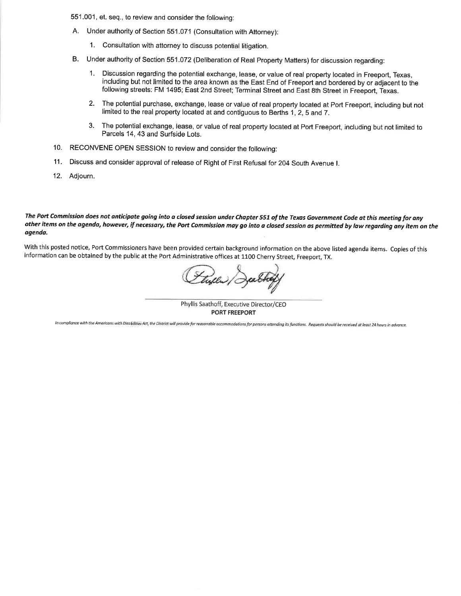551.001, et. seq., to review and consider the following:

- A. Under authority of Section 551.071 (Consultation with Attorney):
	- 1. Consultation with attorney to discuss potential litigation.
- B. Under authority of Section 551.072 (Deliberation of Real Property Matters) for discussion regarding:
	- $1<sub>1</sub>$ Discussion regarding the potential exchange, lease, or value of real property located in Freeport, Texas, including but not limited to the area known as the East End of Freeport and bordered by or adjacent to the following streets: FM 1495; East 2nd Street; Terminal Street and East 8th Street in Freeport, Texas.
	- $2.$ The potential purchase, exchange, lease or value of real property located at Port Freeport, including but not limited to the real property located at and contiguous to Berths 1, 2, 5 and 7.
	- The potential exchange, lease, or value of real property located at Port Freeport, including but not limited to 3. Parcels 14, 43 and Surfside Lots.
- 10. RECONVENE OPEN SESSION to review and consider the following:
- 11. Discuss and consider approval of release of Right of First Refusal for 204 South Avenue I.
- 12. Adjourn.

The Port Commission does not anticipate going into a closed session under Chapter 551 of the Texas Government Code at this meeting for any other items on the agenda, however, if necessary, the Port Commission may go into a closed session as permitted by law regarding any item on the agenda.

With this posted notice, Port Commissioners have been provided certain background information on the above listed agenda items. Copies of this information can be obtained by the public at the Port Administrative offices at 1100 Cherry Street, Freeport, TX.

Phyllis Saathoff, Executive Director/CEO **PORT FREEPORT** 

In compliance with the Americans with Disabilities Act, the District will provide for reasonable accommodations for persons attending its functions. Requests should be received at least 24 hours in advance.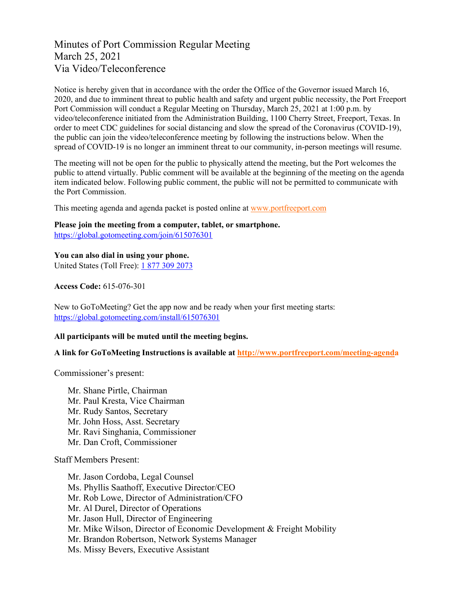## Minutes of Port Commission Regular Meeting March 25, 2021 Via Video/Teleconference

Notice is hereby given that in accordance with the order the Office of the Governor issued March 16, 2020, and due to imminent threat to public health and safety and urgent public necessity, the Port Freeport Port Commission will conduct a Regular Meeting on Thursday, March 25, 2021 at 1:00 p.m. by video/teleconference initiated from the Administration Building, 1100 Cherry Street, Freeport, Texas. In order to meet CDC guidelines for social distancing and slow the spread of the Coronavirus (COVID-19), the public can join the video/teleconference meeting by following the instructions below. When the spread of COVID-19 is no longer an imminent threat to our community, in-person meetings will resume.

The meeting will not be open for the public to physically attend the meeting, but the Port welcomes the public to attend virtually. Public comment will be available at the beginning of the meeting on the agenda item indicated below. Following public comment, the public will not be permitted to communicate with the Port Commission.

This meeting agenda and agenda packet is posted online at [www.portfreeport.com](http://www.portfreeport.com/)

### **Please join the meeting from a computer, tablet, or smartphone.**

<https://global.gotomeeting.com/join/615076301>

**You can also dial in using your phone.**

United States (Toll Free): [1 877](tel:+18668994679,,663154293) 309 2073

**Access Code:** 615-076-301

New to GoToMeeting? Get the app now and be ready when your first meeting starts: <https://global.gotomeeting.com/install/615076301>

#### **All participants will be muted until the meeting begins.**

**A link for GoToMeeting Instructions is available at<http://www.portfreeport.com/meeting-agenda>**

Commissioner's present:

Mr. Shane Pirtle, Chairman Mr. Paul Kresta, Vice Chairman Mr. Rudy Santos, Secretary Mr. John Hoss, Asst. Secretary Mr. Ravi Singhania, Commissioner Mr. Dan Croft, Commissioner

Staff Members Present:

Mr. Jason Cordoba, Legal Counsel Ms. Phyllis Saathoff, Executive Director/CEO Mr. Rob Lowe, Director of Administration/CFO Mr. Al Durel, Director of Operations Mr. Jason Hull, Director of Engineering Mr. Mike Wilson, Director of Economic Development & Freight Mobility Mr. Brandon Robertson, Network Systems Manager Ms. Missy Bevers, Executive Assistant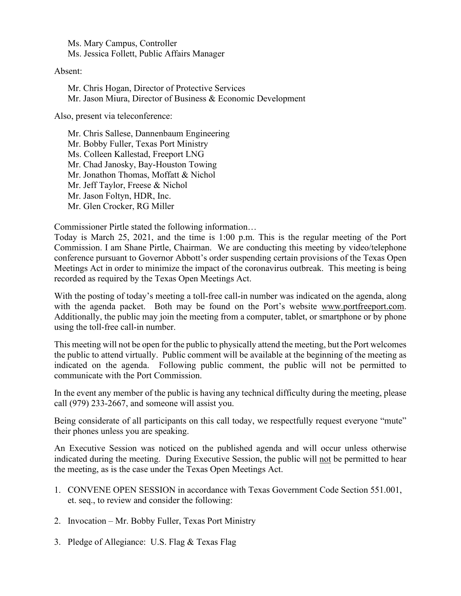Ms. Mary Campus, Controller Ms. Jessica Follett, Public Affairs Manager

#### Absent:

 Mr. Chris Hogan, Director of Protective Services Mr. Jason Miura, Director of Business & Economic Development

Also, present via teleconference:

Mr. Chris Sallese, Dannenbaum Engineering Mr. Bobby Fuller, Texas Port Ministry Ms. Colleen Kallestad, Freeport LNG Mr. Chad Janosky, Bay-Houston Towing Mr. Jonathon Thomas, Moffatt & Nichol Mr. Jeff Taylor, Freese & Nichol Mr. Jason Foltyn, HDR, Inc. Mr. Glen Crocker, RG Miller

Commissioner Pirtle stated the following information…

Today is March 25, 2021, and the time is 1:00 p.m. This is the regular meeting of the Port Commission. I am Shane Pirtle, Chairman. We are conducting this meeting by video/telephone conference pursuant to Governor Abbott's order suspending certain provisions of the Texas Open Meetings Act in order to minimize the impact of the coronavirus outbreak. This meeting is being recorded as required by the Texas Open Meetings Act.

With the posting of today's meeting a toll-free call-in number was indicated on the agenda, along with the agenda packet. Both may be found on the Port's website [www.portfreeport.com.](http://www.portfreeport.com/) Additionally, the public may join the meeting from a computer, tablet, or smartphone or by phone using the toll-free call-in number.

This meeting will not be open for the public to physically attend the meeting, but the Port welcomes the public to attend virtually. Public comment will be available at the beginning of the meeting as indicated on the agenda. Following public comment, the public will not be permitted to communicate with the Port Commission.

In the event any member of the public is having any technical difficulty during the meeting, please call (979) 233-2667, and someone will assist you.

Being considerate of all participants on this call today, we respectfully request everyone "mute" their phones unless you are speaking.

An Executive Session was noticed on the published agenda and will occur unless otherwise indicated during the meeting. During Executive Session, the public will not be permitted to hear the meeting, as is the case under the Texas Open Meetings Act.

- 1. CONVENE OPEN SESSION in accordance with Texas Government Code Section 551.001, et. seq., to review and consider the following:
- 2. Invocation Mr. Bobby Fuller, Texas Port Ministry
- 3. Pledge of Allegiance: U.S. Flag & Texas Flag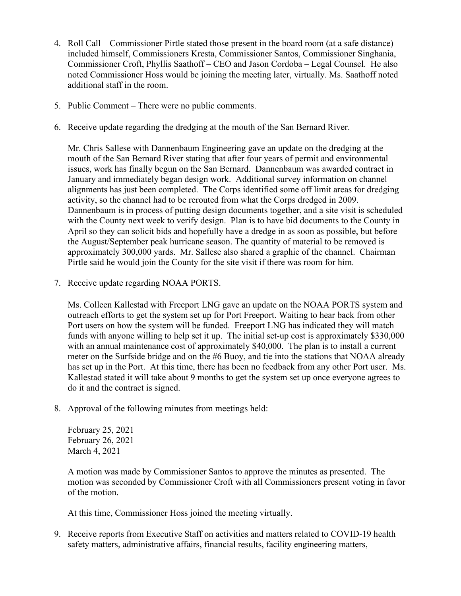- 4. Roll Call Commissioner Pirtle stated those present in the board room (at a safe distance) included himself, Commissioners Kresta, Commissioner Santos, Commissioner Singhania, Commissioner Croft, Phyllis Saathoff – CEO and Jason Cordoba – Legal Counsel. He also noted Commissioner Hoss would be joining the meeting later, virtually. Ms. Saathoff noted additional staff in the room.
- 5. Public Comment There were no public comments.
- 6. Receive update regarding the dredging at the mouth of the San Bernard River.

Mr. Chris Sallese with Dannenbaum Engineering gave an update on the dredging at the mouth of the San Bernard River stating that after four years of permit and environmental issues, work has finally begun on the San Bernard. Dannenbaum was awarded contract in January and immediately began design work. Additional survey information on channel alignments has just been completed. The Corps identified some off limit areas for dredging activity, so the channel had to be rerouted from what the Corps dredged in 2009. Dannenbaum is in process of putting design documents together, and a site visit is scheduled with the County next week to verify design. Plan is to have bid documents to the County in April so they can solicit bids and hopefully have a dredge in as soon as possible, but before the August/September peak hurricane season. The quantity of material to be removed is approximately 300,000 yards. Mr. Sallese also shared a graphic of the channel. Chairman Pirtle said he would join the County for the site visit if there was room for him.

7. Receive update regarding NOAA PORTS.

Ms. Colleen Kallestad with Freeport LNG gave an update on the NOAA PORTS system and outreach efforts to get the system set up for Port Freeport. Waiting to hear back from other Port users on how the system will be funded. Freeport LNG has indicated they will match funds with anyone willing to help set it up. The initial set-up cost is approximately \$330,000 with an annual maintenance cost of approximately \$40,000. The plan is to install a current meter on the Surfside bridge and on the #6 Buoy, and tie into the stations that NOAA already has set up in the Port. At this time, there has been no feedback from any other Port user. Ms. Kallestad stated it will take about 9 months to get the system set up once everyone agrees to do it and the contract is signed.

8. Approval of the following minutes from meetings held:

February 25, 2021 February 26, 2021 March 4, 2021

A motion was made by Commissioner Santos to approve the minutes as presented. The motion was seconded by Commissioner Croft with all Commissioners present voting in favor of the motion.

At this time, Commissioner Hoss joined the meeting virtually.

9. Receive reports from Executive Staff on activities and matters related to COVID-19 health safety matters, administrative affairs, financial results, facility engineering matters,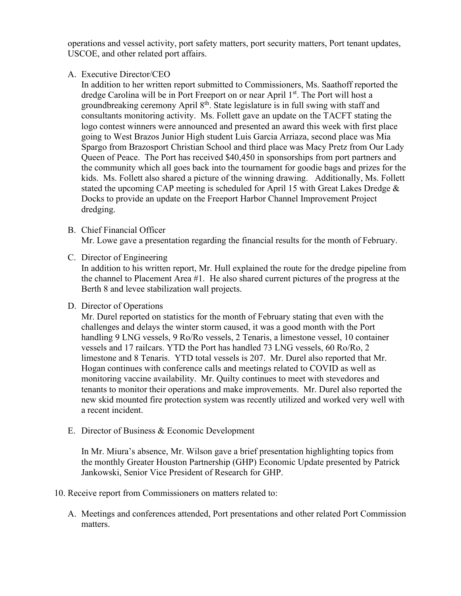operations and vessel activity, port safety matters, port security matters, Port tenant updates, USCOE, and other related port affairs.

A. Executive Director/CEO

In addition to her written report submitted to Commissioners, Ms. Saathoff reported the dredge Carolina will be in Port Freeport on or near April 1<sup>st</sup>. The Port will host a groundbreaking ceremony April 8<sup>th</sup>. State legislature is in full swing with staff and consultants monitoring activity. Ms. Follett gave an update on the TACFT stating the logo contest winners were announced and presented an award this week with first place going to West Brazos Junior High student Luis Garcia Arriaza, second place was Mia Spargo from Brazosport Christian School and third place was Macy Pretz from Our Lady Queen of Peace. The Port has received \$40,450 in sponsorships from port partners and the community which all goes back into the tournament for goodie bags and prizes for the kids. Ms. Follett also shared a picture of the winning drawing. Additionally, Ms. Follett stated the upcoming CAP meeting is scheduled for April 15 with Great Lakes Dredge & Docks to provide an update on the Freeport Harbor Channel Improvement Project dredging.

### B. Chief Financial Officer

Mr. Lowe gave a presentation regarding the financial results for the month of February.

C. Director of Engineering

In addition to his written report, Mr. Hull explained the route for the dredge pipeline from the channel to Placement Area #1. He also shared current pictures of the progress at the Berth 8 and levee stabilization wall projects.

### D. Director of Operations

Mr. Durel reported on statistics for the month of February stating that even with the challenges and delays the winter storm caused, it was a good month with the Port handling 9 LNG vessels, 9 Ro/Ro vessels, 2 Tenaris, a limestone vessel, 10 container vessels and 17 railcars. YTD the Port has handled 73 LNG vessels, 60 Ro/Ro, 2 limestone and 8 Tenaris. YTD total vessels is 207. Mr. Durel also reported that Mr. Hogan continues with conference calls and meetings related to COVID as well as monitoring vaccine availability. Mr. Quilty continues to meet with stevedores and tenants to monitor their operations and make improvements. Mr. Durel also reported the new skid mounted fire protection system was recently utilized and worked very well with a recent incident.

E. Director of Business & Economic Development

In Mr. Miura's absence, Mr. Wilson gave a brief presentation highlighting topics from the monthly Greater Houston Partnership (GHP) Economic Update presented by Patrick Jankowski, Senior Vice President of Research for GHP.

- 10. Receive report from Commissioners on matters related to:
	- A. Meetings and conferences attended, Port presentations and other related Port Commission matters.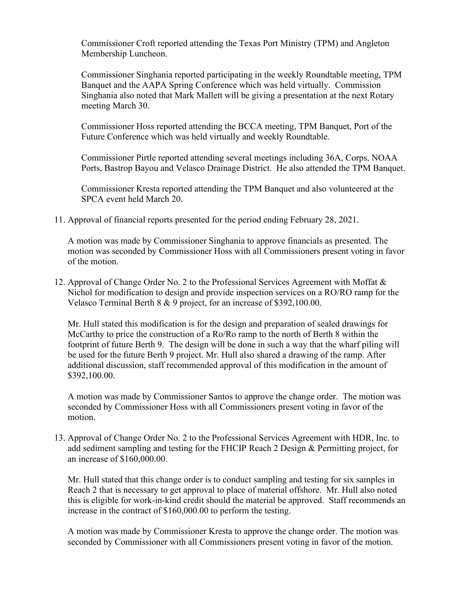Commissioner Croft reported attending the Texas Port Ministry (TPM) and Angleton Membership Luncheon.

Commissioner Singhania reported participating in the weekly Roundtable meeting, TPM Banquet and the AAPA Spring Conference which was held virtually. Commission Singhania also noted that Mark Mallett will be giving a presentation at the next Rotary meeting March 30.

Commissioner Hoss reported attending the BCCA meeting, TPM Banquet, Port of the Future Conference which was held virtually and weekly Roundtable.

Commissioner Pirtle reported attending several meetings including 36A, Corps, NOAA Ports, Bastrop Bayou and Velasco Drainage District. He also attended the TPM Banquet.

Commissioner Kresta reported attending the TPM Banquet and also volunteered at the SPCA event held March 20.

11. Approval of financial reports presented for the period ending February 28, 2021.

A motion was made by Commissioner Singhania to approve financials as presented. The motion was seconded by Commissioner Hoss with all Commissioners present voting in favor of the motion.

12. Approval of Change Order No. 2 to the Professional Services Agreement with Moffat & Nichol for modification to design and provide inspection services on a RO/RO ramp for the Velasco Terminal Berth 8 & 9 project, for an increase of \$392,100.00.

Mr. Hull stated this modification is for the design and preparation of sealed drawings for McCarthy to price the construction of a Ro/Ro ramp to the north of Berth 8 within the footprint of future Berth 9. The design will be done in such a way that the wharf piling will be used for the future Berth 9 project. Mr. Hull also shared a drawing of the ramp. After additional discussion, staff recommended approval of this modification in the amount of \$392,100.00.

A motion was made by Commissioner Santos to approve the change order. The motion was seconded by Commissioner Hoss with all Commissioners present voting in favor of the motion.

13. Approval of Change Order No. 2 to the Professional Services Agreement with HDR, Inc. to add sediment sampling and testing for the FHCIP Reach 2 Design & Permitting project, for an increase of \$160,000.00.

Mr. Hull stated that this change order is to conduct sampling and testing for six samples in Reach 2 that is necessary to get approval to place of material offshore. Mr. Hull also noted this is eligible for work-in-kind credit should the material be approved. Staff recommends an increase in the contract of \$160,000.00 to perform the testing.

A motion was made by Commissioner Kresta to approve the change order. The motion was seconded by Commissioner with all Commissioners present voting in favor of the motion.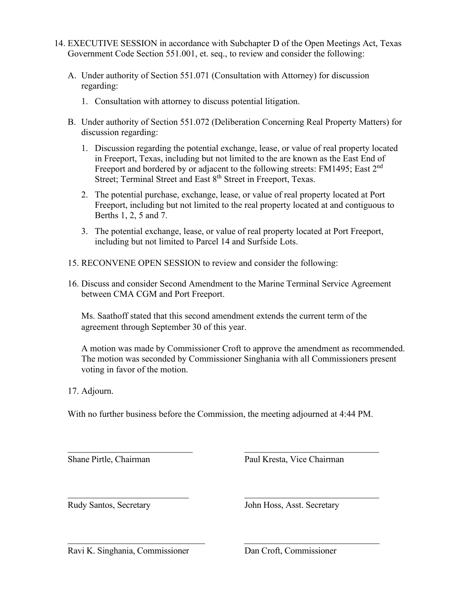- 14. EXECUTIVE SESSION in accordance with Subchapter D of the Open Meetings Act, Texas Government Code Section 551.001, et. seq., to review and consider the following:
	- A. Under authority of Section 551.071 (Consultation with Attorney) for discussion regarding:
		- 1. Consultation with attorney to discuss potential litigation.
	- B. Under authority of Section 551.072 (Deliberation Concerning Real Property Matters) for discussion regarding:
		- 1. Discussion regarding the potential exchange, lease, or value of real property located in Freeport, Texas, including but not limited to the are known as the East End of Freeport and bordered by or adjacent to the following streets: FM1495; East 2<sup>nd</sup> Street; Terminal Street and East 8<sup>th</sup> Street in Freeport, Texas.
		- 2. The potential purchase, exchange, lease, or value of real property located at Port Freeport, including but not limited to the real property located at and contiguous to Berths 1, 2, 5 and 7.
		- 3. The potential exchange, lease, or value of real property located at Port Freeport, including but not limited to Parcel 14 and Surfside Lots.
	- 15. RECONVENE OPEN SESSION to review and consider the following:
	- 16. Discuss and consider Second Amendment to the Marine Terminal Service Agreement between CMA CGM and Port Freeport.

Ms. Saathoff stated that this second amendment extends the current term of the agreement through September 30 of this year.

A motion was made by Commissioner Croft to approve the amendment as recommended. The motion was seconded by Commissioner Singhania with all Commissioners present voting in favor of the motion.

17. Adjourn.

 $\overline{a}$ 

With no further business before the Commission, the meeting adjourned at 4:44 PM.

Shane Pirtle, Chairman Paul Kresta, Vice Chairman

 $\overline{a}$ 

Rudy Santos, Secretary John Hoss, Asst. Secretary

Ravi K. Singhania, Commissioner Dan Croft, Commissioner

 $\overline{a}$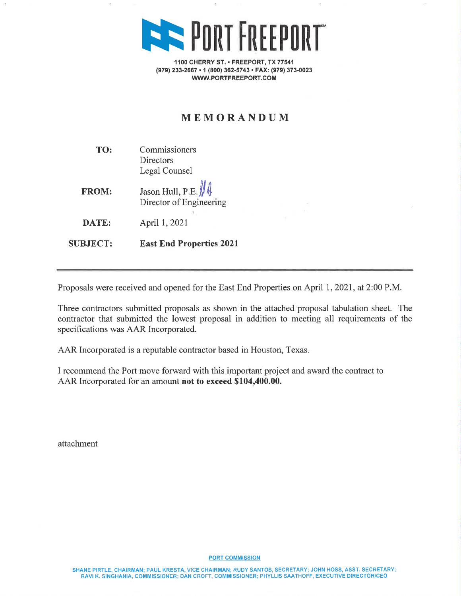

1100 CHERRY ST. • FREEPORT, TX 77541 (979) 233-2667 · 1 (800) 362-5743 · FAX: (979) 373-0023 WWW.PORTFREEPORT.COM

## MEMORANDUM

Commissioners TO: Directors Legal Counsel

Jason Hull, P.E. **FROM:** Director of Engineering

DATE: April 1, 2021

**East End Properties 2021 SUBJECT:** 

Proposals were received and opened for the East End Properties on April 1, 2021, at 2:00 P.M.

Three contractors submitted proposals as shown in the attached proposal tabulation sheet. The contractor that submitted the lowest proposal in addition to meeting all requirements of the specifications was AAR Incorporated.

AAR Incorporated is a reputable contractor based in Houston, Texas.

I recommend the Port move forward with this important project and award the contract to AAR Incorporated for an amount not to exceed \$104,400.00.

attachment